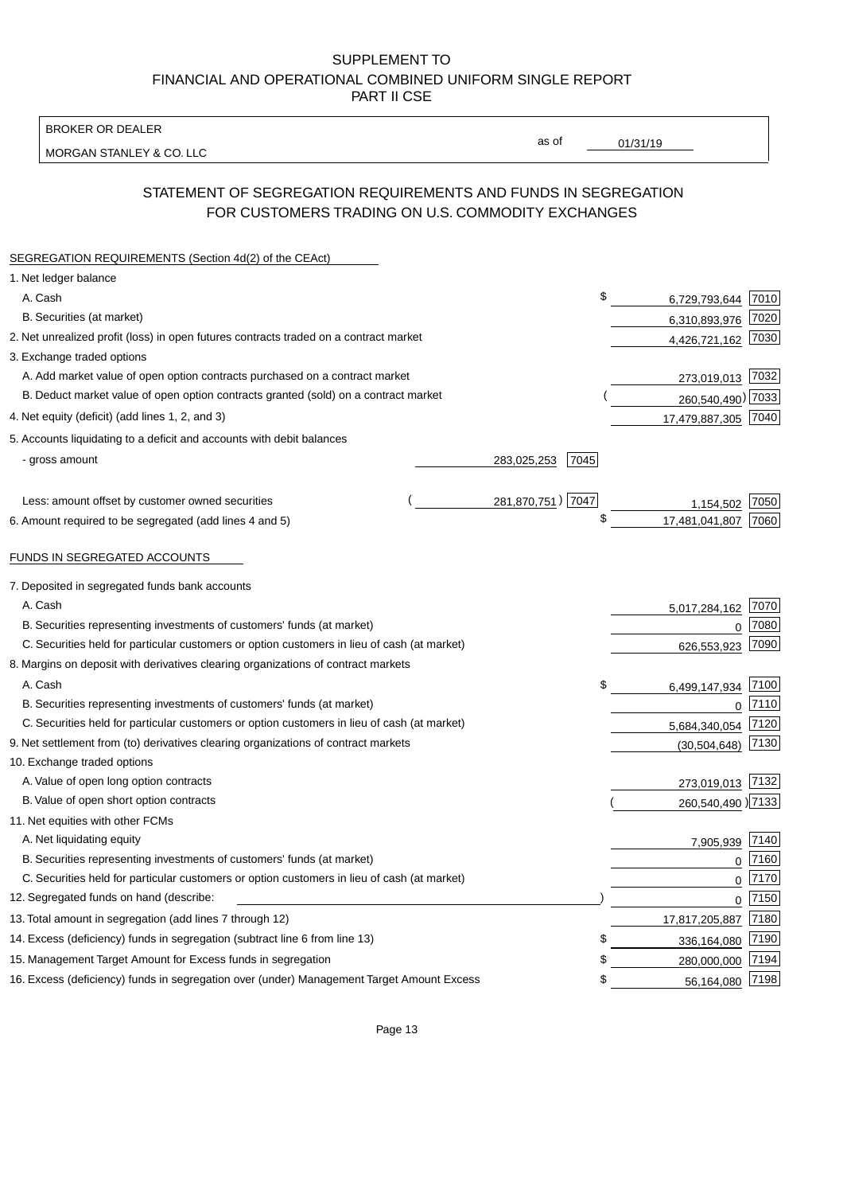BROKER OR DEALER

MORGAN STANLEY & CO. LLC

01/31/19

as of

# STATEMENT OF SEGREGATION REQUIREMENTS AND FUNDS IN SEGREGATION FOR CUSTOMERS TRADING ON U.S. COMMODITY EXCHANGES

| SEGREGATION REQUIREMENTS (Section 4d(2) of the CEAct)                                       |                     |                     |      |
|---------------------------------------------------------------------------------------------|---------------------|---------------------|------|
| 1. Net ledger balance                                                                       |                     |                     |      |
| A. Cash                                                                                     | \$                  | 6,729,793,644 7010  |      |
| B. Securities (at market)                                                                   |                     | 6,310,893,976       | 7020 |
| 2. Net unrealized profit (loss) in open futures contracts traded on a contract market       |                     | 4,426,721,162 7030  |      |
| 3. Exchange traded options                                                                  |                     |                     |      |
| A. Add market value of open option contracts purchased on a contract market                 |                     | 273,019,013 7032    |      |
| B. Deduct market value of open option contracts granted (sold) on a contract market         |                     | 260,540,490) 7033   |      |
| 4. Net equity (deficit) (add lines 1, 2, and 3)                                             |                     | 17,479,887,305 7040 |      |
| 5. Accounts liquidating to a deficit and accounts with debit balances                       |                     |                     |      |
| - gross amount                                                                              | 283,025,253<br>7045 |                     |      |
|                                                                                             |                     |                     |      |
| Less: amount offset by customer owned securities                                            | 281,870,751) 7047   | 1.154.502           | 7050 |
| 6. Amount required to be segregated (add lines 4 and 5)                                     | \$                  | 17,481,041,807      | 7060 |
|                                                                                             |                     |                     |      |
| FUNDS IN SEGREGATED ACCOUNTS                                                                |                     |                     |      |
| 7. Deposited in segregated funds bank accounts                                              |                     |                     |      |
| A. Cash                                                                                     |                     | 5,017,284,162       | 7070 |
| B. Securities representing investments of customers' funds (at market)                      |                     | 0                   | 7080 |
| C. Securities held for particular customers or option customers in lieu of cash (at market) |                     | 626,553,923         | 7090 |
| 8. Margins on deposit with derivatives clearing organizations of contract markets           |                     |                     |      |
| A. Cash                                                                                     | \$                  | 6,499,147,934       | 7100 |
| B. Securities representing investments of customers' funds (at market)                      |                     | 0                   | 7110 |
| C. Securities held for particular customers or option customers in lieu of cash (at market) |                     | 5,684,340,054       | 7120 |
| 9. Net settlement from (to) derivatives clearing organizations of contract markets          |                     | (30, 504, 648)      | 7130 |
| 10. Exchange traded options                                                                 |                     |                     |      |
| A. Value of open long option contracts                                                      |                     | 273,019,013 7132    |      |
| B. Value of open short option contracts                                                     |                     | 260,540,490) 7133   |      |
| 11. Net equities with other FCMs                                                            |                     |                     |      |
| A. Net liquidating equity                                                                   |                     | 7,905,939           | 7140 |
| B. Securities representing investments of customers' funds (at market)                      |                     | $\mathbf 0$         | 7160 |
| C. Securities held for particular customers or option customers in lieu of cash (at market) |                     | $\mathbf 0$         | 7170 |
| 12. Segregated funds on hand (describe:                                                     |                     | $\overline{0}$      | 7150 |
| 13. Total amount in segregation (add lines 7 through 12)                                    |                     | 17,817,205,887 7180 |      |
| 14. Excess (deficiency) funds in segregation (subtract line 6 from line 13)                 | S                   | 336,164,080         | 7190 |
| 15. Management Target Amount for Excess funds in segregation                                | \$                  | 280,000,000         | 7194 |
| 16. Excess (deficiency) funds in segregation over (under) Management Target Amount Excess   | \$                  | 56,164,080 7198     |      |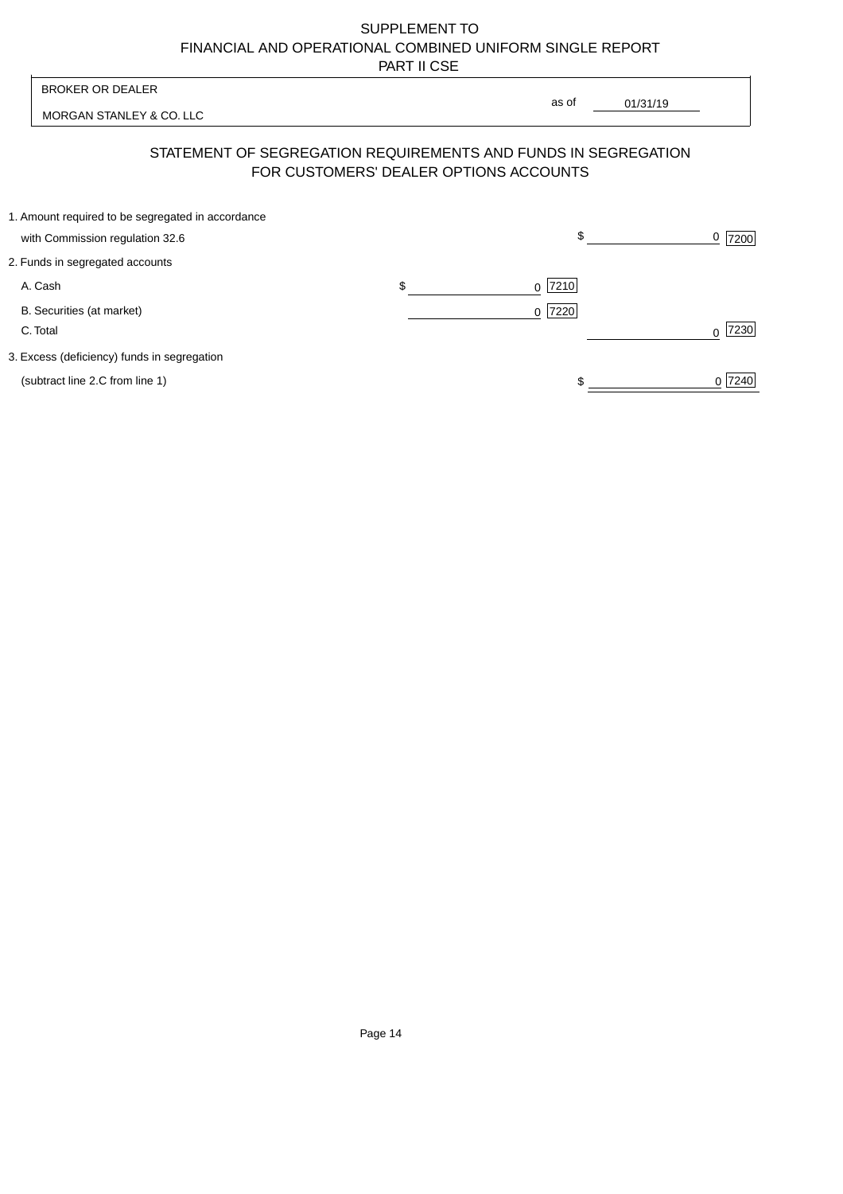MORGAN STANLEY & CO. LLC

01/31/19  $\overline{\phantom{a}}$ 

as of

# STATEMENT OF SEGREGATION REQUIREMENTS AND FUNDS IN SEGREGATION FOR CUSTOMERS' DEALER OPTIONS ACCOUNTS

| 1. Amount required to be segregated in accordance |           |        |
|---------------------------------------------------|-----------|--------|
| with Commission regulation 32.6                   | \$        | 7200   |
| 2. Funds in segregated accounts                   |           |        |
| A. Cash                                           | $0$  7210 |        |
| B. Securities (at market)                         | $0$  7220 |        |
| C. Total                                          |           | 7230   |
| 3. Excess (deficiency) funds in segregation       |           |        |
| (subtract line 2.C from line 1)                   |           | 0 7240 |
|                                                   |           |        |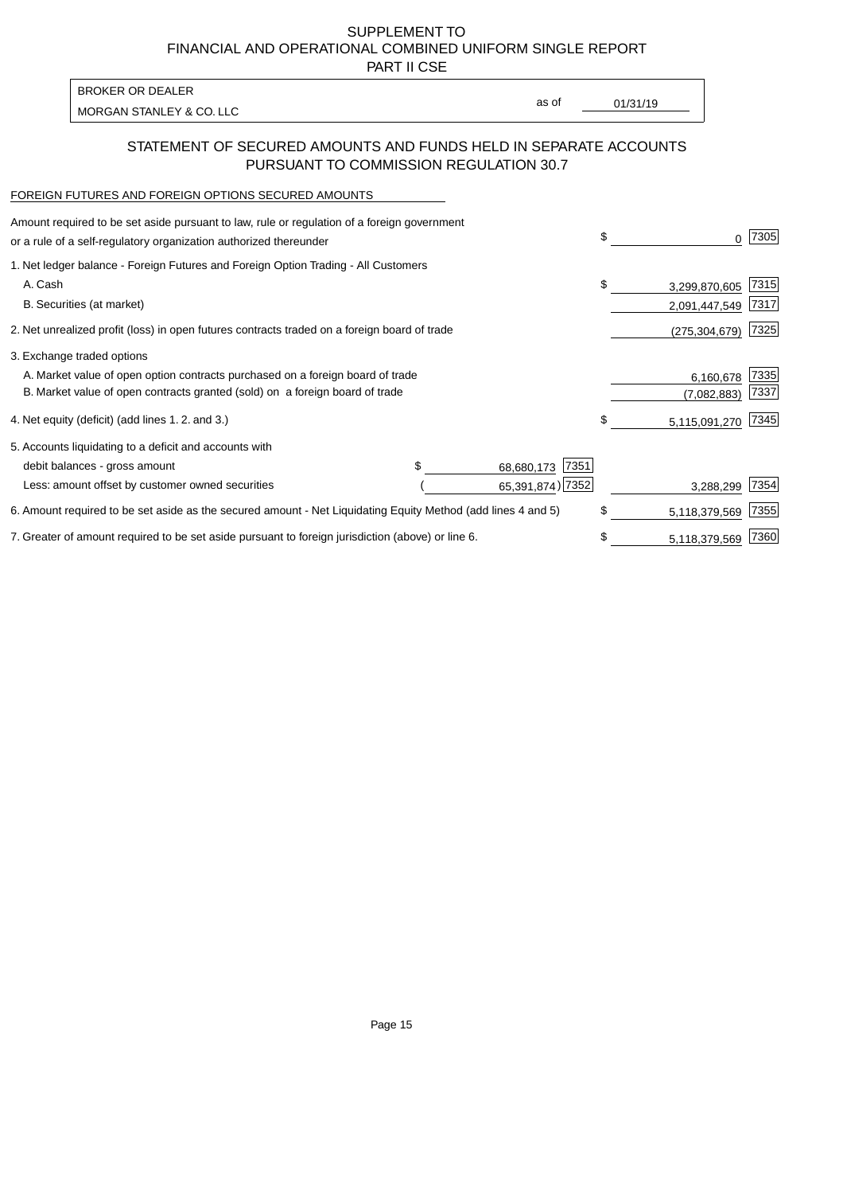PART II CSE

| BROKER OR DEALER         |       |          |
|--------------------------|-------|----------|
| MORGAN STANLEY & CO. LLC | as of | 01/31/19 |

# STATEMENT OF SECURED AMOUNTS AND FUNDS HELD IN SEPARATE ACCOUNTS PURSUANT TO COMMISSION REGULATION 30.7

### FOREIGN FUTURES AND FOREIGN OPTIONS SECURED AMOUNTS

| Amount required to be set aside pursuant to law, rule or regulation of a foreign government<br>or a rule of a self-regulatory organization authorized thereunder |  |                    | \$<br>0             | 7305 |
|------------------------------------------------------------------------------------------------------------------------------------------------------------------|--|--------------------|---------------------|------|
| 1. Net ledger balance - Foreign Futures and Foreign Option Trading - All Customers                                                                               |  |                    |                     |      |
| A. Cash                                                                                                                                                          |  |                    | \$<br>3,299,870,605 | 7315 |
| B. Securities (at market)                                                                                                                                        |  |                    | 2,091,447,549       | 7317 |
| 2. Net unrealized profit (loss) in open futures contracts traded on a foreign board of trade                                                                     |  |                    | (275, 304, 679)     | 7325 |
| 3. Exchange traded options                                                                                                                                       |  |                    |                     |      |
| A. Market value of open option contracts purchased on a foreign board of trade                                                                                   |  |                    | 6,160,678           | 7335 |
| B. Market value of open contracts granted (sold) on a foreign board of trade                                                                                     |  |                    | (7,082,883)         | 7337 |
| 4. Net equity (deficit) (add lines 1.2. and 3.)                                                                                                                  |  |                    | \$<br>5,115,091,270 | 7345 |
| 5. Accounts liquidating to a deficit and accounts with                                                                                                           |  |                    |                     |      |
| debit balances - gross amount                                                                                                                                    |  | 7351<br>68,680,173 |                     |      |
| Less: amount offset by customer owned securities                                                                                                                 |  | 65,391,874) 7352   | 3,288,299           | 7354 |
| 6. Amount required to be set aside as the secured amount - Net Liquidating Equity Method (add lines 4 and 5)                                                     |  |                    | \$<br>5,118,379,569 | 7355 |
| 7. Greater of amount required to be set aside pursuant to foreign jurisdiction (above) or line 6.                                                                |  |                    | \$<br>5,118,379,569 | 7360 |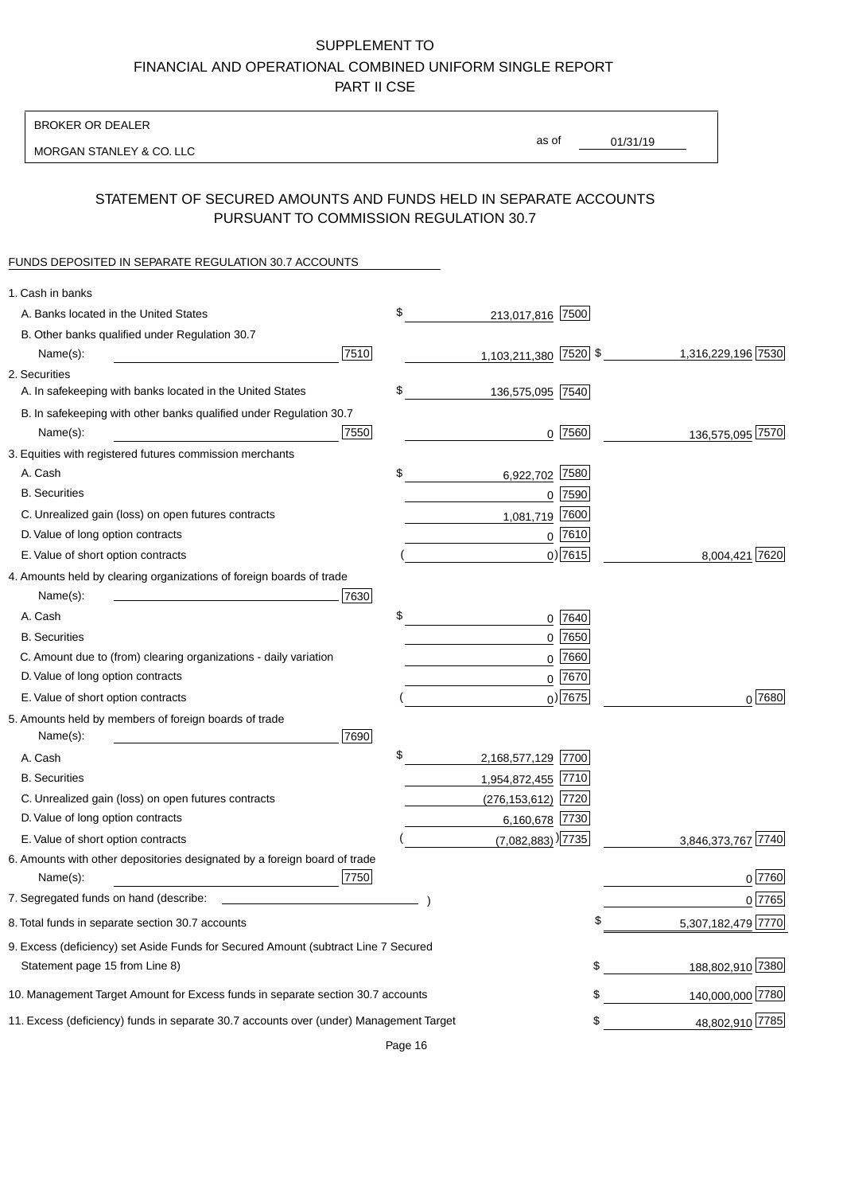BROKER OR DEALER

MORGAN STANLEY & CO. LLC

01/31/19 as of

# STATEMENT OF SECURED AMOUNTS AND FUNDS HELD IN SEPARATE ACCOUNTS PURSUANT TO COMMISSION REGULATION 30.7

## FUNDS DEPOSITED IN SEPARATE REGULATION 30.7 ACCOUNTS

| 1. Cash in banks                                                                       |      |                                   |                          |
|----------------------------------------------------------------------------------------|------|-----------------------------------|--------------------------|
| A. Banks located in the United States                                                  | \$   | 213,017,816 7500                  |                          |
| B. Other banks qualified under Regulation 30.7                                         |      |                                   |                          |
| 7510<br>Name(s):                                                                       |      | 1,103,211,380 7520 \$             | 1,316,229,196 7530       |
| 2. Securities                                                                          |      |                                   |                          |
| A. In safekeeping with banks located in the United States                              | \$   | 136,575,095 7540                  |                          |
| B. In safekeeping with other banks qualified under Regulation 30.7                     |      |                                   |                          |
| Name(s):                                                                               | 7550 | $0$  7560                         | 136,575,095 7570         |
| 3. Equities with registered futures commission merchants                               |      |                                   |                          |
| A. Cash                                                                                | \$   | 6,922,702 7580                    |                          |
| <b>B.</b> Securities                                                                   |      | $0$ 7590                          |                          |
| C. Unrealized gain (loss) on open futures contracts                                    |      | 7600<br>1,081,719                 |                          |
| D. Value of long option contracts                                                      |      | $0^{7610}$                        |                          |
| E. Value of short option contracts                                                     |      | $0)$ 7615                         | 8,004,421 7620           |
| 4. Amounts held by clearing organizations of foreign boards of trade                   |      |                                   |                          |
| 7630<br>Name(s):                                                                       |      |                                   |                          |
| A. Cash                                                                                | \$   | $0$ 7640                          |                          |
| <b>B.</b> Securities                                                                   |      | 7650<br>0                         |                          |
| C. Amount due to (from) clearing organizations - daily variation                       |      | 7660<br>0                         |                          |
| D. Value of long option contracts                                                      |      | 0 7670                            |                          |
| E. Value of short option contracts                                                     |      | $0$ ) 7675                        | $0^{7680}$               |
| 5. Amounts held by members of foreign boards of trade                                  |      |                                   |                          |
| Name(s):<br>7690                                                                       |      |                                   |                          |
| A. Cash                                                                                | \$   | 2,168,577,129 7700                |                          |
| <b>B.</b> Securities                                                                   |      | 1,954,872,455 7710                |                          |
| C. Unrealized gain (loss) on open futures contracts                                    |      | $(276, 153, 612)$ 7720            |                          |
| D. Value of long option contracts                                                      |      | 6,160,678 7730                    |                          |
| E. Value of short option contracts                                                     |      | $(7,082,883)$ <sup>)</sup> [7735] | 3,846,373,767 7740       |
| 6. Amounts with other depositories designated by a foreign board of trade              |      |                                   |                          |
| Name(s):                                                                               | 7750 |                                   | 0 7760                   |
| 7. Segregated funds on hand (describe:                                                 |      |                                   | 0 7765                   |
| 8. Total funds in separate section 30.7 accounts                                       |      |                                   | \$<br>5,307,182,479 7770 |
| 9. Excess (deficiency) set Aside Funds for Secured Amount (subtract Line 7 Secured     |      |                                   |                          |
| Statement page 15 from Line 8)                                                         |      |                                   | 188,802,910 7380<br>\$   |
| 10. Management Target Amount for Excess funds in separate section 30.7 accounts        |      |                                   | 140,000,000 7780<br>\$   |
| 11. Excess (deficiency) funds in separate 30.7 accounts over (under) Management Target |      |                                   | 48,802,910 7785<br>\$    |
|                                                                                        |      |                                   |                          |